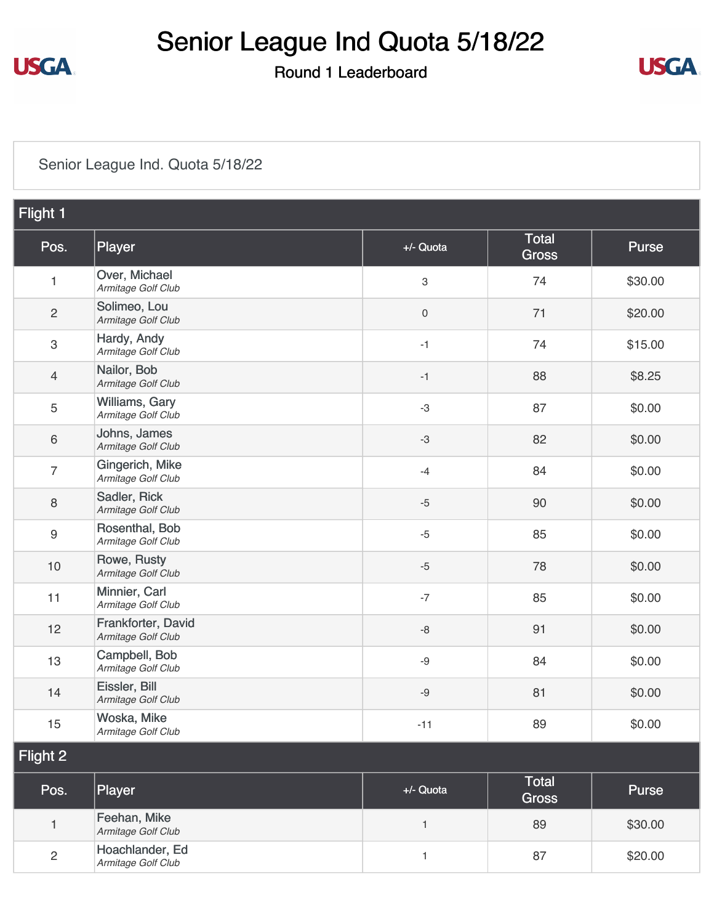

### Senior League Ind Quota 5/18/22

Round 1 Leaderboard



#### [Senior League Ind. Quota 5/18/22](https://static.golfgenius.com/v2tournaments/8485518440885433223?called_from=&round_index=1)

| Flight 1                  |                                          |              |                              |              |
|---------------------------|------------------------------------------|--------------|------------------------------|--------------|
| Pos.                      | Player                                   | +/- Quota    | <b>Total</b><br><b>Gross</b> | Purse        |
| 1                         | Over, Michael<br>Armitage Golf Club      | 3            | 74                           | \$30.00      |
| $\overline{c}$            | Solimeo, Lou<br>Armitage Golf Club       | $\,0\,$      | 71                           | \$20.00      |
| $\ensuremath{\mathsf{3}}$ | Hardy, Andy<br>Armitage Golf Club        | $-1$         | 74                           | \$15.00      |
| $\overline{4}$            | Nailor, Bob<br>Armitage Golf Club        | $-1$         | 88                           | \$8.25       |
| $\mathbf 5$               | Williams, Gary<br>Armitage Golf Club     | $-3$         | 87                           | \$0.00       |
| $\,6\,$                   | Johns, James<br>Armitage Golf Club       | $-3$         | 82                           | \$0.00       |
| $\overline{7}$            | Gingerich, Mike<br>Armitage Golf Club    | $-4$         | 84                           | \$0.00       |
| 8                         | Sadler, Rick<br>Armitage Golf Club       | $-5$         | 90                           | \$0.00       |
| 9                         | Rosenthal, Bob<br>Armitage Golf Club     | $-5$         | 85                           | \$0.00       |
| 10                        | Rowe, Rusty<br>Armitage Golf Club        | $-5$         | 78                           | \$0.00       |
| 11                        | Minnier, Carl<br>Armitage Golf Club      | $-7$         | 85                           | \$0.00       |
| 12                        | Frankforter, David<br>Armitage Golf Club | $\mbox{-}8$  | 91                           | \$0.00       |
| 13                        | Campbell, Bob<br>Armitage Golf Club      | $-9$         | 84                           | \$0.00       |
| 14                        | Eissler, Bill<br>Armitage Golf Club      | $-9$         | 81                           | \$0.00       |
| 15                        | Woska, Mike<br>Armitage Golf Club        | $-11$        | 89                           | \$0.00       |
| Flight 2                  |                                          |              |                              |              |
| Pos.                      | Player                                   | +/- Quota    | <b>Total</b><br><b>Gross</b> | <b>Purse</b> |
| $\mathbf{1}$              | Feehan, Mike<br>Armitage Golf Club       | $\mathbf{1}$ | 89                           | \$30.00      |
| $\overline{c}$            | Hoachlander, Ed<br>Armitage Golf Club    | 1            | 87                           | \$20.00      |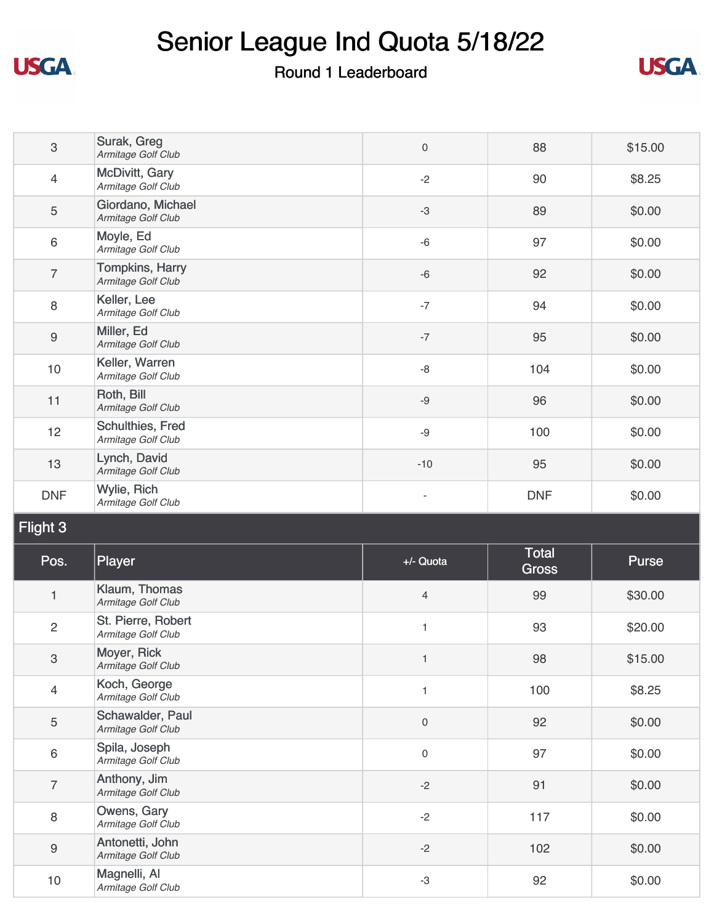

## Senior League Ind Quota 5/18/22

### Round 1 Leaderboard



| $\mathfrak{S}$   | Surak, Greg<br>Armitage Golf Club            | $\mathsf{O}\xspace$ | 88         | \$15.00 |
|------------------|----------------------------------------------|---------------------|------------|---------|
| $\overline{4}$   | McDivitt, Gary<br>Armitage Golf Club         | $-2$                | 90         | \$8.25  |
| $\mathbf 5$      | Giordano, Michael<br>Armitage Golf Club      | $-3$                | 89         | \$0.00  |
| $\,6\,$          | Moyle, Ed<br>Armitage Golf Club              | $-6$                | 97         | \$0.00  |
| $\overline{7}$   | <b>Tompkins, Harry</b><br>Armitage Golf Club | $-6$                | 92         | \$0.00  |
| $\,8\,$          | Keller, Lee<br>Armitage Golf Club            | $-7$                | 94         | \$0.00  |
| $\boldsymbol{9}$ | Miller, Ed<br>Armitage Golf Club             | $-7$                | 95         | \$0.00  |
| 10               | Keller, Warren<br>Armitage Golf Club         | $-8$                | 104        | \$0.00  |
| 11               | Roth, Bill<br>Armitage Golf Club             | $-9$                | 96         | \$0.00  |
| 12               | Schulthies, Fred<br>Armitage Golf Club       | $-9$                | 100        | \$0.00  |
| 13               | Lynch, David<br>Armitage Golf Club           | $-10$               | 95         | \$0.00  |
| <b>DNF</b>       | Wylie, Rich<br>Armitage Golf Club            |                     | <b>DNF</b> | \$0.00  |

Flight 3

| Pos.             | Player                                   | +/- Quota      | Total<br><b>Gross</b> | Purse   |
|------------------|------------------------------------------|----------------|-----------------------|---------|
| $\mathbf{1}$     | Klaum, Thomas<br>Armitage Golf Club      | $\overline{4}$ | 99                    | \$30.00 |
| $\overline{c}$   | St. Pierre, Robert<br>Armitage Golf Club | $\overline{1}$ | 93                    | \$20.00 |
| $\mathfrak{S}$   | Moyer, Rick<br>Armitage Golf Club        | $\overline{1}$ | 98                    | \$15.00 |
| 4                | Koch, George<br>Armitage Golf Club       | $\mathbf{1}$   | 100                   | \$8.25  |
| 5                | Schawalder, Paul<br>Armitage Golf Club   | $\mathbf 0$    | 92                    | \$0.00  |
| $\,6\,$          | Spila, Joseph<br>Armitage Golf Club      | $\mathbf 0$    | 97                    | \$0.00  |
| $\overline{7}$   | Anthony, Jim<br>Armitage Golf Club       | $-2$           | 91                    | \$0.00  |
| 8                | Owens, Gary<br>Armitage Golf Club        | $-2$           | 117                   | \$0.00  |
| $\boldsymbol{9}$ | Antonetti, John<br>Armitage Golf Club    | $-2$           | 102                   | \$0.00  |
| 10               | Magnelli, Al<br>Armitage Golf Club       | -3             | 92                    | \$0.00  |